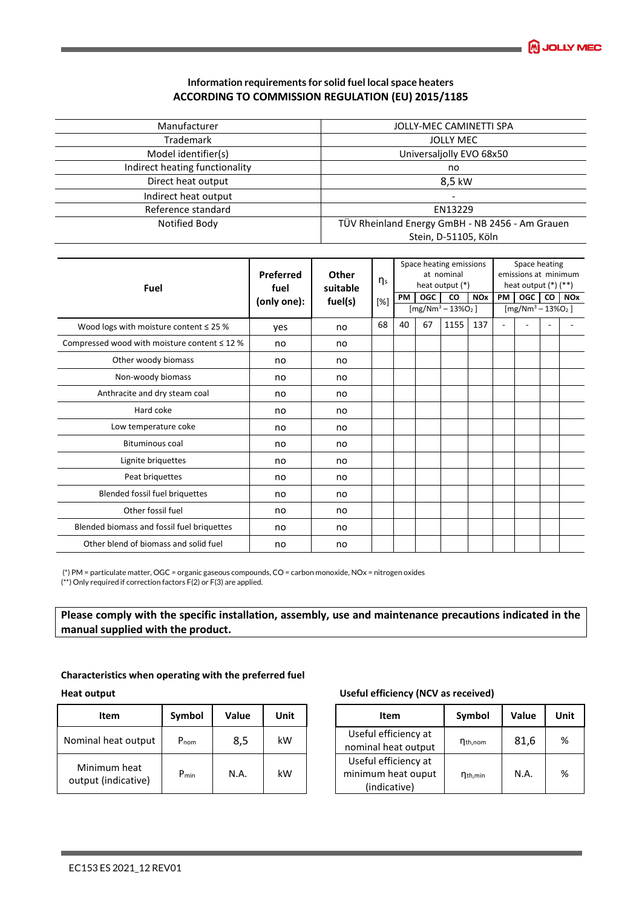# **Information requirements for solid fuel local space heaters ACCORDING TO COMMISSION REGULATION (EU) 2015/1185**

| Manufacturer                   | <b>JOLLY-MEC CAMINETTI SPA</b>                  |
|--------------------------------|-------------------------------------------------|
| <b>Trademark</b>               | <b>JOLLY MEC</b>                                |
| Model identifier(s)            | Universaljolly EVO 68x50                        |
| Indirect heating functionality | no                                              |
| Direct heat output             | 8,5 kW                                          |
| Indirect heat output           |                                                 |
| Reference standard             | EN13229                                         |
| Notified Body                  | TÜV Rheinland Energy GmBH - NB 2456 - Am Grauen |
|                                | Stein, D-51105, Köln                            |
|                                |                                                 |

| Fuel                                              | Preferred<br>fuel | Other<br>suitable | $\eta_s$ | Space heating emissions<br>at nominal<br>heat output (*) |            |                    |                       | Space heating<br>emissions at minimum<br>heat output $(*)$ $(**)$ |                    |      |            |
|---------------------------------------------------|-------------------|-------------------|----------|----------------------------------------------------------|------------|--------------------|-----------------------|-------------------------------------------------------------------|--------------------|------|------------|
|                                                   | (only one):       | fuel(s)           | $[\%]$   | PM                                                       | <b>OGC</b> | CO                 | <b>NO<sub>x</sub></b> | PM                                                                | <b>OGC</b>         | co l | <b>NOx</b> |
|                                                   |                   |                   |          |                                                          |            | $[mg/Nm3 - 13%O2]$ |                       |                                                                   | $[mg/Nm3 - 13%O2]$ |      |            |
| Wood logs with moisture content $\leq$ 25 %       | yes               | no                | 68       | 40                                                       | 67         | 1155               | 137                   | ٠                                                                 |                    |      |            |
| Compressed wood with moisture content $\leq 12$ % | no                | no                |          |                                                          |            |                    |                       |                                                                   |                    |      |            |
| Other woody biomass                               | no                | no                |          |                                                          |            |                    |                       |                                                                   |                    |      |            |
| Non-woody biomass                                 | no                | no                |          |                                                          |            |                    |                       |                                                                   |                    |      |            |
| Anthracite and dry steam coal                     | no                | no                |          |                                                          |            |                    |                       |                                                                   |                    |      |            |
| Hard coke                                         | no                | no                |          |                                                          |            |                    |                       |                                                                   |                    |      |            |
| Low temperature coke                              | no                | no                |          |                                                          |            |                    |                       |                                                                   |                    |      |            |
| <b>Bituminous coal</b>                            | no                | no                |          |                                                          |            |                    |                       |                                                                   |                    |      |            |
| Lignite briquettes                                | no                | no                |          |                                                          |            |                    |                       |                                                                   |                    |      |            |
| Peat briquettes                                   | no                | no                |          |                                                          |            |                    |                       |                                                                   |                    |      |            |
| Blended fossil fuel briquettes                    | no                | no                |          |                                                          |            |                    |                       |                                                                   |                    |      |            |
| Other fossil fuel                                 | no                | no                |          |                                                          |            |                    |                       |                                                                   |                    |      |            |
| Blended biomass and fossil fuel briquettes        | no                | no                |          |                                                          |            |                    |                       |                                                                   |                    |      |            |
| Other blend of biomass and solid fuel             | no                | no                |          |                                                          |            |                    |                       |                                                                   |                    |      |            |

(\*) PM = particulate matter, OGC = organic gaseous compounds, CO = carbon monoxide, NOx = nitrogen oxides (\*\*) Only required if correction factors F(2) or F(3) are applied.

# **Please comply with the specific installation, assembly, use and maintenance precautions indicated in the manual supplied with the product.**

#### **Characteristics when operating with the preferred fuel**

| <b>Item</b>         | Symbol    | Value | Unit | Item                 |
|---------------------|-----------|-------|------|----------------------|
| Nominal heat output | $P_{nom}$ | 8,5   | kW   | Useful efficiency at |
|                     |           |       |      | nominal heat output  |
| Minimum heat        |           |       |      | Useful efficiency at |
|                     | $P_{min}$ | N.A.  | kW   | minimum heat oupu    |
| output (indicative) |           |       |      | (indicative)         |

# **Heat output Useful efficiency (NCV as received)**

| <b>Item</b>              | Symbol    | Value | Unit | Item |                                                            | Symbol       | Value | Unit |
|--------------------------|-----------|-------|------|------|------------------------------------------------------------|--------------|-------|------|
| heat output              | $P_{nom}$ | 8,5   | kW   |      | Useful efficiency at<br>nominal heat output                | $n_{th,nom}$ | 81,6  | %    |
| num heat<br>(indicative) | $P_{min}$ | N.A.  | kW   |      | Useful efficiency at<br>minimum heat ouput<br>(indicative) | $n_{th,min}$ | N.A.  | %    |